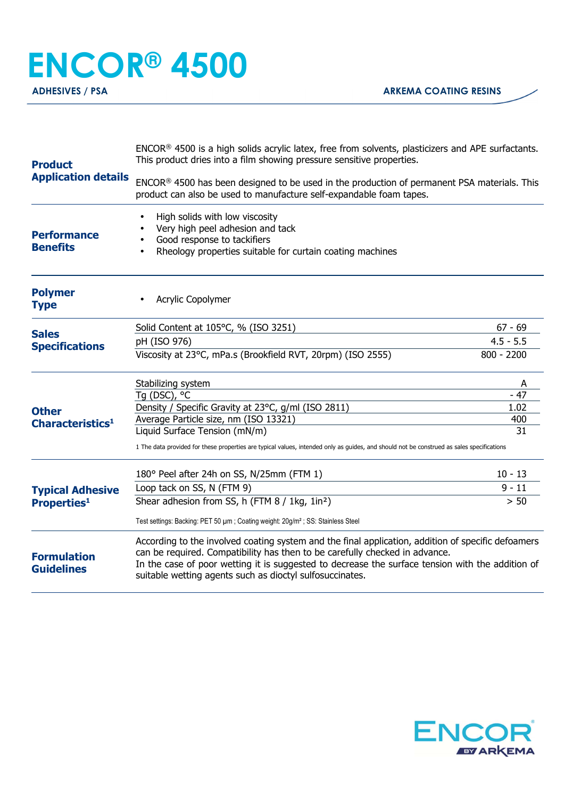## **ENCOR® 4500**

**ADHESIVES / PSA ARKEMA COATING RESINS** 

| <b>Product</b><br><b>Application details</b>  | ENCOR® 4500 is a high solids acrylic latex, free from solvents, plasticizers and APE surfactants.<br>This product dries into a film showing pressure sensitive properties.                                                                                                                                                                        |              |
|-----------------------------------------------|---------------------------------------------------------------------------------------------------------------------------------------------------------------------------------------------------------------------------------------------------------------------------------------------------------------------------------------------------|--------------|
|                                               | ENCOR® 4500 has been designed to be used in the production of permanent PSA materials. This<br>product can also be used to manufacture self-expandable foam tapes.                                                                                                                                                                                |              |
| <b>Performance</b><br><b>Benefits</b>         | High solids with low viscosity<br>$\bullet$<br>Very high peel adhesion and tack<br>Good response to tackifiers<br>Rheology properties suitable for curtain coating machines                                                                                                                                                                       |              |
| <b>Polymer</b><br><b>Type</b>                 | Acrylic Copolymer                                                                                                                                                                                                                                                                                                                                 |              |
| <b>Sales</b><br><b>Specifications</b>         | Solid Content at 105°C, % (ISO 3251)                                                                                                                                                                                                                                                                                                              | $67 - 69$    |
|                                               | pH (ISO 976)                                                                                                                                                                                                                                                                                                                                      | $4.5 - 5.5$  |
|                                               | Viscosity at 23°C, mPa.s (Brookfield RVT, 20rpm) (ISO 2555)                                                                                                                                                                                                                                                                                       | $800 - 2200$ |
| <b>Other</b><br>Characteristics <sup>1</sup>  | Stabilizing system                                                                                                                                                                                                                                                                                                                                | A            |
|                                               | Tg (DSC), °C                                                                                                                                                                                                                                                                                                                                      | $-47$        |
|                                               | Density / Specific Gravity at 23°C, g/ml (ISO 2811)                                                                                                                                                                                                                                                                                               | 1.02         |
|                                               | Average Particle size, nm (ISO 13321)                                                                                                                                                                                                                                                                                                             | 400          |
|                                               | Liquid Surface Tension (mN/m)<br>1 The data provided for these properties are typical values, intended only as guides, and should not be construed as sales specifications                                                                                                                                                                        | 31           |
| <b>Typical Adhesive</b><br><b>Properties1</b> | 180° Peel after 24h on SS, N/25mm (FTM 1)                                                                                                                                                                                                                                                                                                         | $10 - 13$    |
|                                               | Loop tack on SS, N (FTM 9)                                                                                                                                                                                                                                                                                                                        | $9 - 11$     |
|                                               | Shear adhesion from SS, h (FTM 8 / 1kg, 1in <sup>2</sup> )                                                                                                                                                                                                                                                                                        | $> 50$       |
|                                               | Test settings: Backing: PET 50 µm; Coating weight: 20g/m <sup>2</sup> ; SS: Stainless Steel                                                                                                                                                                                                                                                       |              |
| <b>Formulation</b><br><b>Guidelines</b>       | According to the involved coating system and the final application, addition of specific defoamers<br>can be required. Compatibility has then to be carefully checked in advance.<br>In the case of poor wetting it is suggested to decrease the surface tension with the addition of<br>suitable wetting agents such as dioctyl sulfosuccinates. |              |